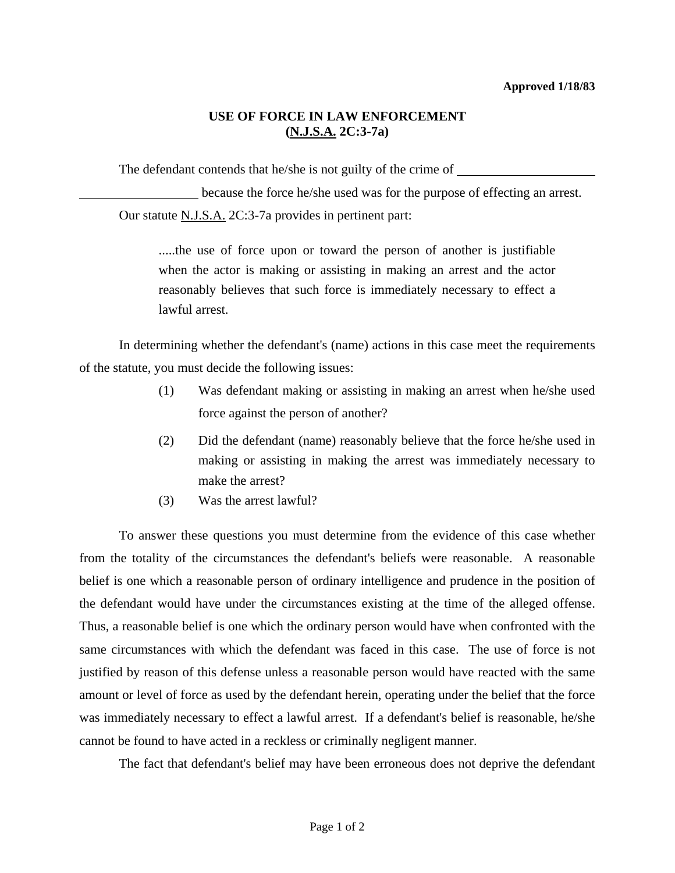## **USE OF FORCE IN LAW ENFORCEMENT (N.J.S.A. 2C:3-7a)**

The defendant contends that he/she is not guilty of the crime of

 because the force he/she used was for the purpose of effecting an arrest. Our statute N.J.S.A. 2C:3-7a provides in pertinent part:

.....the use of force upon or toward the person of another is justifiable when the actor is making or assisting in making an arrest and the actor reasonably believes that such force is immediately necessary to effect a lawful arrest.

 In determining whether the defendant's (name) actions in this case meet the requirements of the statute, you must decide the following issues:

- (1) Was defendant making or assisting in making an arrest when he/she used force against the person of another?
- (2) Did the defendant (name) reasonably believe that the force he/she used in making or assisting in making the arrest was immediately necessary to make the arrest?
- (3) Was the arrest lawful?

 To answer these questions you must determine from the evidence of this case whether from the totality of the circumstances the defendant's beliefs were reasonable. A reasonable belief is one which a reasonable person of ordinary intelligence and prudence in the position of the defendant would have under the circumstances existing at the time of the alleged offense. Thus, a reasonable belief is one which the ordinary person would have when confronted with the same circumstances with which the defendant was faced in this case. The use of force is not justified by reason of this defense unless a reasonable person would have reacted with the same amount or level of force as used by the defendant herein, operating under the belief that the force was immediately necessary to effect a lawful arrest. If a defendant's belief is reasonable, he/she cannot be found to have acted in a reckless or criminally negligent manner.

The fact that defendant's belief may have been erroneous does not deprive the defendant